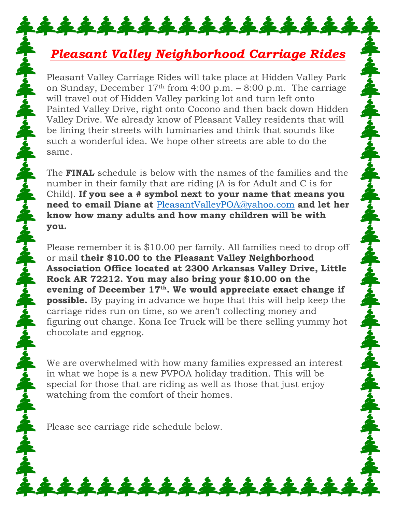## *Pleasant Valley Neighborhood Carriage Rides*

\*\*\*\*\*\*\*\*\*\*\*\*\*\*\*\*

Pleasant Valley Carriage Rides will take place at Hidden Valley Park on Sunday, December 17th from 4:00 p.m. – 8:00 p.m. The carriage will travel out of Hidden Valley parking lot and turn left onto Painted Valley Drive, right onto Cocono and then back down Hidden Valley Drive. We already know of Pleasant Valley residents that will be lining their streets with luminaries and think that sounds like such a wonderful idea. We hope other streets are able to do the same.

The **FINAL** schedule is below with the names of the families and the number in their family that are riding (A is for Adult and C is for Child). **If you see a # symbol next to your name that means you need to email Diane at** [PleasantValleyPOA@yahoo.com](mailto:PleasantValleyPOA@yahoo.com) **and let her know how many adults and how many children will be with you.**

Please remember it is \$10.00 per family. All families need to drop off or mail **their \$10.00 to the Pleasant Valley Neighborhood Association Office located at 2300 Arkansas Valley Drive, Little Rock AR 72212. You may also bring your \$10.00 on the evening of December 17th. We would appreciate exact change if possible.** By paying in advance we hope that this will help keep the carriage rides run on time, so we aren't collecting money and figuring out change. Kona Ice Truck will be there selling yummy hot chocolate and eggnog.

We are overwhelmed with how many families expressed an interest in what we hope is a new PVPOA holiday tradition. This will be special for those that are riding as well as those that just enjoy watching from the comfort of their homes.

\*\*\*\*\*\*\*\*\*\*\*\*

Please see carriage ride schedule below.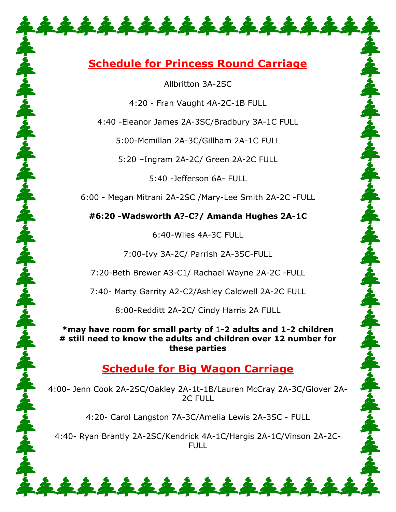## **Schedule for Princess Round Carriage**

\*\*\*\*\*\*\*\*\*\*\*\*\*\*

Allbritton 3A-2SC

4:20 - Fran Vaught 4A-2C-1B FULL

4:40 -Eleanor James 2A-3SC/Bradbury 3A-1C FULL

5:00-Mcmillan 2A-3C/Gillham 2A-1C FULL

5:20 –Ingram 2A-2C/ Green 2A-2C FULL

5:40 -Jefferson 6A- FULL

6:00 - Megan Mitrani 2A-2SC /Mary-Lee Smith 2A-2C -FULL

**#6:20 -Wadsworth A?-C?/ Amanda Hughes 2A-1C**

6:40-Wiles 4A-3C FULL

7:00-Ivy 3A-2C/ Parrish 2A-3SC-FULL

7:20-Beth Brewer A3-C1/ Rachael Wayne 2A-2C -FULL

7:40- Marty Garrity A2-C2/Ashley Caldwell 2A-2C FULL

8:00-Redditt 2A-2C/ Cindy Harris 2A FULL

**\*may have room for small party of** 1**-2 adults and 1-2 children # still need to know the adults and children over 12 number for these parties**

## **Schedule for Big Wagon Carriage**

4:00- Jenn Cook 2A-2SC/Oakley 2A-1t-1B/Lauren McCray 2A-3C/Glover 2A-2C FULL

4:20- Carol Langston 7A-3C/Amelia Lewis 2A-3SC - FULL

4:40- Ryan Brantly 2A-2SC/Kendrick 4A-1C/Hargis 2A-1C/Vinson 2A-2C-FULL

\*\*\*\*\*\*\*\*\*\*\*\*